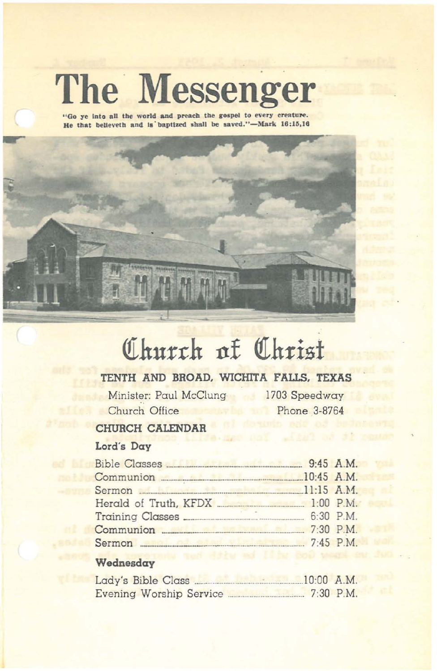# The Messenger

"Go ye into all the world and preach the gospel to every creature. He that believeth and is baptized shall be saved."-Mark 16:15,16



# Church of Christ

# TENTH AND BROAD, WICHITA FALLS, TEXAS

Minister: Paul McClung 1703 Speedway Church Office

Phone 3-8764

## CHURCH CALENDAR

### Lord's Day

| Communion 20145 A.M.                               |  |
|----------------------------------------------------|--|
| Sermon 11:15 A.M.                                  |  |
|                                                    |  |
|                                                    |  |
|                                                    |  |
| Sermon 2008 30 2009 2009 2010 2010 2010 21:45 P.M. |  |
|                                                    |  |

# Wednesday

| Lady's Bible Class             | $10:00$ A.M. |             |
|--------------------------------|--------------|-------------|
| <b>Evening Worship Service</b> |              | $7:30$ P.M. |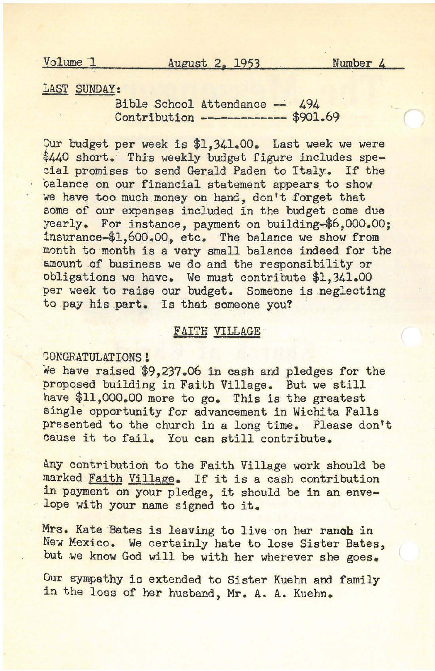#### LAST SUNDAY:

Bible School Attendance  $-494$ Contribution **-------------** \$901.69

Our budget per week is \$1,341.00. Last week we were \$440 short. This weekly budget figure includes special promises to send Gerald Paden to Italy. If the talance on our financial statement appears to show we have too much money on hand, don't forget that some of our expenses included in the budget come due yearly. For instance, payment on building-\$6,000.00; insurance-\$1,600.00, etc, The balance we show from month to month is a very small balance indeed for the amount of business we do and the responsibility or obligations we have, We must contribute \$1,341,00 per week to raise our budget. Someone is neglecting to pay his part, Is that someone you?

#### FAITH VILLAGE

CONGRATULATIONS!

We have raised \$9,237.06 in cash and pledges for the proposed building in Faith Village. But we still have \$11,000.00 more to go. This is the greatest single opportunity for advancement in Wichita Falls presented to the church in a long time, Please don't cause it to fail. You can still contribute.

Any contribution to the Faith Village work should be marked Faith Village. If it is <sup>a</sup> cash contribution in payment on your pledge, it should be in an envelope with your name signed to it.

Mrs. Kate Bates is leaving to live on her ranoh in New Mexico. We certainly hate to lose Sister Bates, but we know God will be with her wherever she goes.

Our sympathy is extended to Sister Kuehn and family in the loss of her husband, Mr. A. A. Kuehn.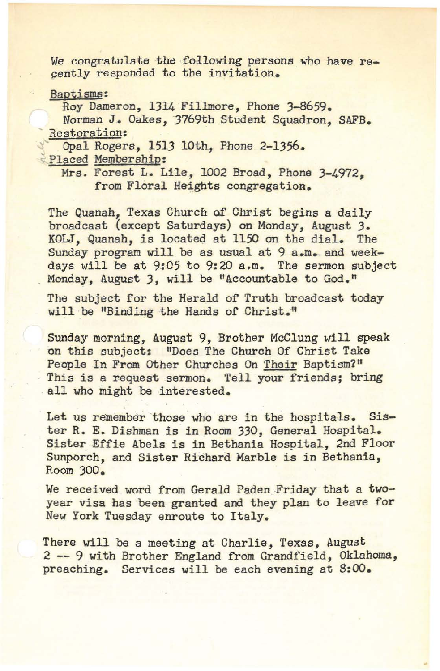We congratulate the following persons who have recently responded to the invitation.

Baptisms:

Roy Dameron, 1314 Fillmore, Phone 3-8659.

Norman J. Oakes, 3769th Student Squadron, SAFB.<br>Restoration:

Opal Rogers, 1513 10th, Phone 2-1356.

Placed Membership:

Mrs. Forest L. Lile, 1002 Broad, Phone 3-4972. from Floral Heights congregation.

The Quanah, Texas Church of Christ begins a daily broadcast (except Saturdays) on Monday, August 3. KOLJ, Quanah, is located at 1150 on the dial- The Sunday program will be as usual at 9 a.m. and weekdays will be at 9:05 to 9:20 a.m. The sermon subject Monday, August 3, will be "Accountable to God."

The subject for the Herald of Truth broadcast today will be "Binding the Hands of Christ."

Sunday morning, August 9, Brother McClung will speak on this subject: "Does The Church Of Christ Take People In From Other Churches On Their Baptism?" This is a request sermon. Tell your friends; bring all who might be interested.

Let us remember those who are in the hospitals. Sister R. E. Dishman is in Room 330, General Hospital. Sister Effie Abels is in Bethania Hospital, 2nd Floor Sunporch, and Sister Richard Marble is in Bethania, Room 300.

We received word from Gerald Paden Friday that a twoyear visa has been granted and they plan to leave for New York Tuesday enroute to Italy.

There will be a meeting at Charlie, Texas, August 2 **--** 9 with Brother England from Grandfield, Oklahoma, preaching. Services will be each evening at 8:00.